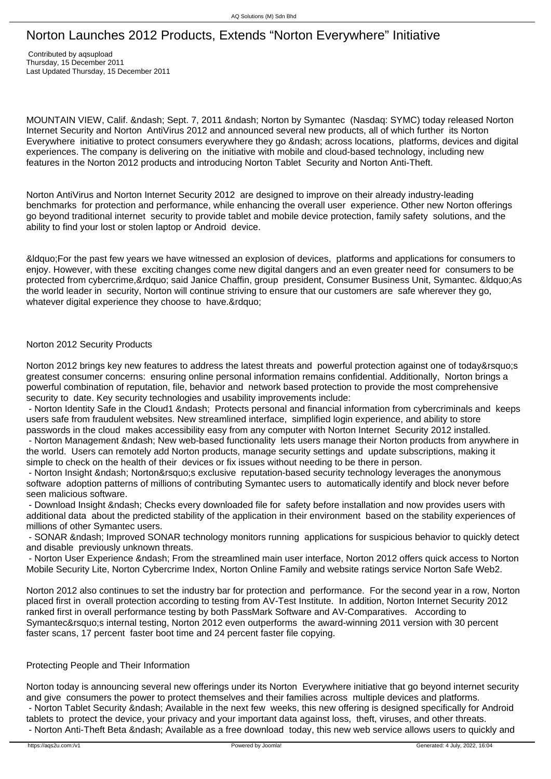## Norton Launches 2012 Products, Extends "Norton Everywhere" Initiative

 Contributed by aqsupload Thursday, 15 December 2011 Last Updated Thursday, 15 December 2011

MOUNTAIN VIEW, Calif. &ndash: Sept. 7, 2011 &ndash: Norton by Symantec (Nasdaq: SYMC) today released Norton Internet Security and Norton AntiVirus 2012 and announced several new products, all of which further its Norton Everywhere initiative to protect consumers everywhere they go – across locations, platforms, devices and digital experiences. The company is delivering on the initiative with mobile and cloud-based technology, including new features in the Norton 2012 products and introducing Norton Tablet Security and Norton Anti-Theft.

Norton AntiVirus and Norton Internet Security 2012 are designed to improve on their already industry-leading benchmarks for protection and performance, while enhancing the overall user experience. Other new Norton offerings go beyond traditional internet security to provide tablet and mobile device protection, family safety solutions, and the ability to find your lost or stolen laptop or Android device.

"For the past few years we have witnessed an explosion of devices, platforms and applications for consumers to enjoy. However, with these exciting changes come new digital dangers and an even greater need for consumers to be protected from cybercrime, & rdguo; said Janice Chaffin, group president, Consumer Business Unit, Symantec. & Idquo; As the world leader in security, Norton will continue striving to ensure that our customers are safe wherever they go, whatever digital experience they choose to have."

## Norton 2012 Security Products

Norton 2012 brings key new features to address the latest threats and powerful protection against one of today's greatest consumer concerns: ensuring online personal information remains confidential. Additionally, Norton brings a powerful combination of reputation, file, behavior and network based protection to provide the most comprehensive security to date. Key security technologies and usability improvements include:

- Norton Identity Safe in the Cloud1 – Protects personal and financial information from cybercriminals and keeps users safe from fraudulent websites. New streamlined interface, simplified login experience, and ability to store passwords in the cloud makes accessibility easy from any computer with Norton Internet Security 2012 installed.

- Norton Management – New web-based functionality lets users manage their Norton products from anywhere in the world. Users can remotely add Norton products, manage security settings and update subscriptions, making it simple to check on the health of their devices or fix issues without needing to be there in person.

- Norton Insight & ndash: Norton&rsquo: sexclusive reputation-based security technology leverages the anonymous software adoption patterns of millions of contributing Symantec users to automatically identify and block never before seen malicious software.

- Download Insight – Checks every downloaded file for safety before installation and now provides users with additional data about the predicted stability of the application in their environment based on the stability experiences of millions of other Symantec users.

- SONAR – Improved SONAR technology monitors running applications for suspicious behavior to quickly detect and disable previously unknown threats.

- Norton User Experience – From the streamlined main user interface, Norton 2012 offers quick access to Norton Mobile Security Lite, Norton Cybercrime Index, Norton Online Family and website ratings service Norton Safe Web2.

Norton 2012 also continues to set the industry bar for protection and performance. For the second year in a row, Norton placed first in overall protection according to testing from AV-Test Institute. In addition, Norton Internet Security 2012 ranked first in overall performance testing by both PassMark Software and AV-Comparatives. According to Symantec's internal testing, Norton 2012 even outperforms the award-winning 2011 version with 30 percent faster scans, 17 percent faster boot time and 24 percent faster file copying.

## Protecting People and Their Information

Norton today is announcing several new offerings under its Norton Everywhere initiative that go beyond internet security and give consumers the power to protect themselves and their families across multiple devices and platforms. - Norton Tablet Security – Available in the next few weeks, this new offering is designed specifically for Android tablets to protect the device, your privacy and your important data against loss, theft, viruses, and other threats. - Norton Anti-Theft Beta &ndash: Available as a free download today, this new web service allows users to quickly and